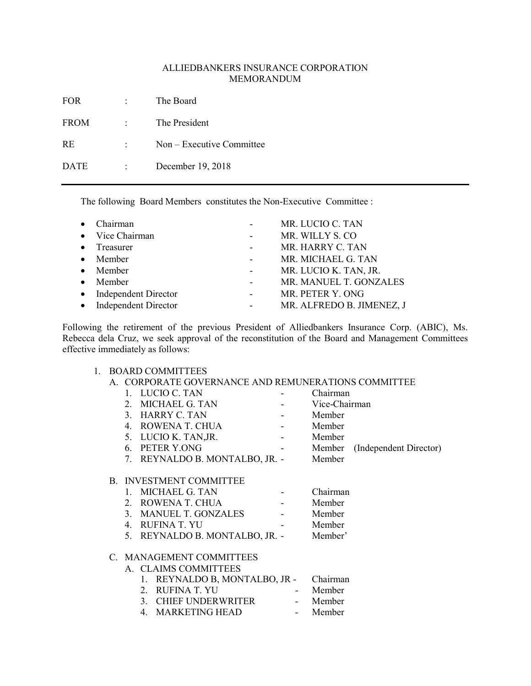# ALLIEDBANKERS INSURANCE CORPORATION MEMORANDUM

| FOR<br>$\mathcal{L}_{\text{max}}$ and $\mathcal{L}_{\text{max}}$ | The Board                              |
|------------------------------------------------------------------|----------------------------------------|
| <b>FROM</b>                                                      | : The President                        |
| RE                                                               | $\therefore$ Non – Executive Committee |
| DATE                                                             | $\therefore$ December 19, 2018         |
|                                                                  |                                        |

The following Board Members constitutes the Non-Executive Committee :

| $\bullet$ Chairman     |                     | MR. LUCIO C. TAN          |
|------------------------|---------------------|---------------------------|
| • Vice Chairman        | $\Delta \sim 100$   | MR. WILLY S. CO           |
| $\bullet$ Treasurer    | $\omega_{\rm{max}}$ | MR. HARRY C. TAN          |
| $\bullet$ Member       |                     | MR. MICHAEL G. TAN        |
| $\bullet$ Member       | $\Delta \sim 100$   | MR. LUCIO K. TAN, JR.     |
| $\bullet$ Member       | $\omega_{\rm{max}}$ | MR. MANUEL T. GONZALES    |
| • Independent Director |                     | MR. PETER Y. ONG          |
| • Independent Director |                     | MR. ALFREDO B. JIMENEZ, J |

Following the retirement of the previous President of Alliedbankers Insurance Corp. (ABIC), Ms. Rebecca dela Cruz, we seek approval of the reconstitution of the Board and Management Committees effective immediately as follows:

### 1. BOARD COMMITTEES

A. CORPORATE GOVERNANCE AND REMUNERATIONS COMMITTEE

|                          | 1. LUCIO C. TAN                               |                      | Chairman      |                               |
|--------------------------|-----------------------------------------------|----------------------|---------------|-------------------------------|
|                          | 2. MICHAEL G. TAN                             |                      | Vice-Chairman |                               |
|                          | 3. HARRY C. TAN<br>and the state of the state |                      | Member        |                               |
|                          | 4. ROWENA T. CHUA                             |                      | Member        |                               |
|                          | 5. LUCIO K. TAN, JR.                          |                      | Member        |                               |
|                          | 6. PETER Y.ONG<br><b>Contract Contract</b>    |                      |               | Member (Independent Director) |
|                          | 7. REYNALDO B. MONTALBO, JR. -                |                      | Member        |                               |
|                          |                                               |                      |               |                               |
|                          | <b>B. INVESTMENT COMMITTEE</b>                |                      |               |                               |
|                          | 1. MICHAEL G. TAN                             |                      | Chairman      |                               |
|                          | 2. ROWENA T. CHUA                             | $\sim 100$ m $^{-1}$ | Member        |                               |
|                          | 3. MANUEL T. GONZALES                         |                      | Member        |                               |
|                          | 4. RUFINA T. YU                               |                      | Member        |                               |
|                          | 5. REYNALDO B. MONTALBO, JR. - Member'        |                      |               |                               |
|                          |                                               |                      |               |                               |
| C. MANAGEMENT COMMITTEES |                                               |                      |               |                               |
|                          | A. CLAIMS COMMITTEES                          |                      |               |                               |
|                          | 1. REYNALDO B, MONTALBO, JR -                 |                      | Chairman      |                               |
|                          | 2. RUFINA T. YU                               |                      | Member        |                               |
|                          | 3. CHIEF UNDERWRITER                          | $\sim 100$           | Member        |                               |
|                          | MARKETING HEAD<br>4.                          |                      | Member        |                               |
|                          |                                               |                      |               |                               |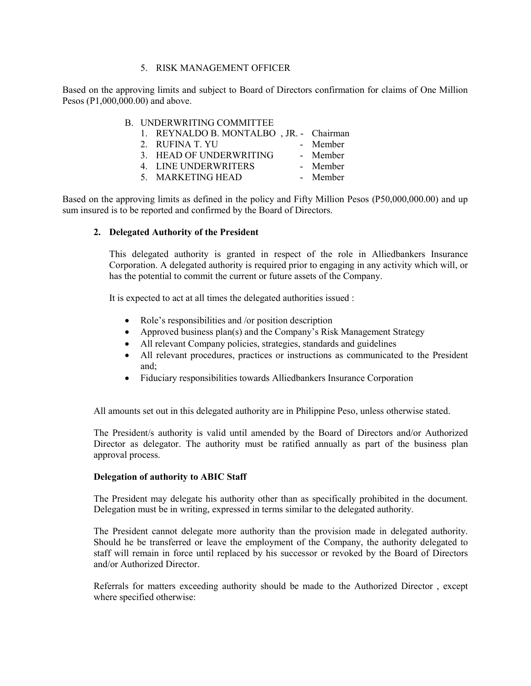#### 5. RISK MANAGEMENT OFFICER

Based on the approving limits and subject to Board of Directors confirmation for claims of One Million Pesos (P1,000,000.00) and above.

|  | <b>B. UNDERWRITING COMMITTEE</b>        |                |
|--|-----------------------------------------|----------------|
|  | 1. REYNALDO B. MONTALBO, JR. - Chairman |                |
|  | 2. RUFINA T. YU                         | - Member       |
|  | 3. HEAD OF UNDERWRITING                 | - Member       |
|  | $\lambda$ Iniring produced $\alpha$     | $\mathbf{r}$ 1 |

- 4. LINE UNDERWRITERS Member
- 5. MARKETING HEAD Member

Based on the approving limits as defined in the policy and Fifty Million Pesos (P50,000,000.00) and up sum insured is to be reported and confirmed by the Board of Directors.

#### 2. Delegated Authority of the President

This delegated authority is granted in respect of the role in Alliedbankers Insurance Corporation. A delegated authority is required prior to engaging in any activity which will, or has the potential to commit the current or future assets of the Company.

It is expected to act at all times the delegated authorities issued :

- Role's responsibilities and /or position description
- Approved business plan(s) and the Company's Risk Management Strategy
- All relevant Company policies, strategies, standards and guidelines
- All relevant procedures, practices or instructions as communicated to the President and;
- Fiduciary responsibilities towards Alliedbankers Insurance Corporation

All amounts set out in this delegated authority are in Philippine Peso, unless otherwise stated.

The President/s authority is valid until amended by the Board of Directors and/or Authorized Director as delegator. The authority must be ratified annually as part of the business plan approval process.

#### Delegation of authority to ABIC Staff

The President may delegate his authority other than as specifically prohibited in the document. Delegation must be in writing, expressed in terms similar to the delegated authority.

The President cannot delegate more authority than the provision made in delegated authority. Should he be transferred or leave the employment of the Company, the authority delegated to staff will remain in force until replaced by his successor or revoked by the Board of Directors and/or Authorized Director.

Referrals for matters exceeding authority should be made to the Authorized Director , except where specified otherwise: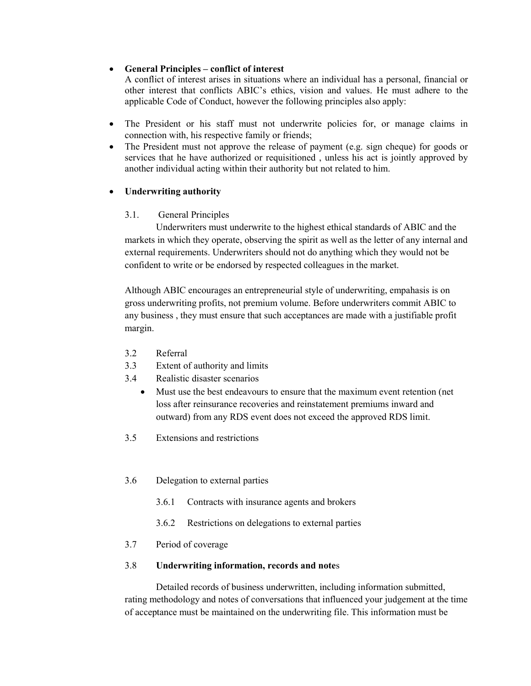# General Principles – conflict of interest

A conflict of interest arises in situations where an individual has a personal, financial or other interest that conflicts ABIC's ethics, vision and values. He must adhere to the applicable Code of Conduct, however the following principles also apply:

- The President or his staff must not underwrite policies for, or manage claims in connection with, his respective family or friends;
- The President must not approve the release of payment (e.g. sign cheque) for goods or services that he have authorized or requisitioned , unless his act is jointly approved by another individual acting within their authority but not related to him.

# • Underwriting authority

# 3.1. General Principles

 Underwriters must underwrite to the highest ethical standards of ABIC and the markets in which they operate, observing the spirit as well as the letter of any internal and external requirements. Underwriters should not do anything which they would not be confident to write or be endorsed by respected colleagues in the market.

Although ABIC encourages an entrepreneurial style of underwriting, empahasis is on gross underwriting profits, not premium volume. Before underwriters commit ABIC to any business , they must ensure that such acceptances are made with a justifiable profit margin.

- 3.2 Referral
- 3.3 Extent of authority and limits
- 3.4 Realistic disaster scenarios
	- Must use the best endeavours to ensure that the maximum event retention (net loss after reinsurance recoveries and reinstatement premiums inward and outward) from any RDS event does not exceed the approved RDS limit.
- 3.5 Extensions and restrictions
- 3.6 Delegation to external parties
	- 3.6.1 Contracts with insurance agents and brokers
	- 3.6.2 Restrictions on delegations to external parties
- 3.7 Period of coverage

### 3.8 Underwriting information, records and notes

 Detailed records of business underwritten, including information submitted, rating methodology and notes of conversations that influenced your judgement at the time of acceptance must be maintained on the underwriting file. This information must be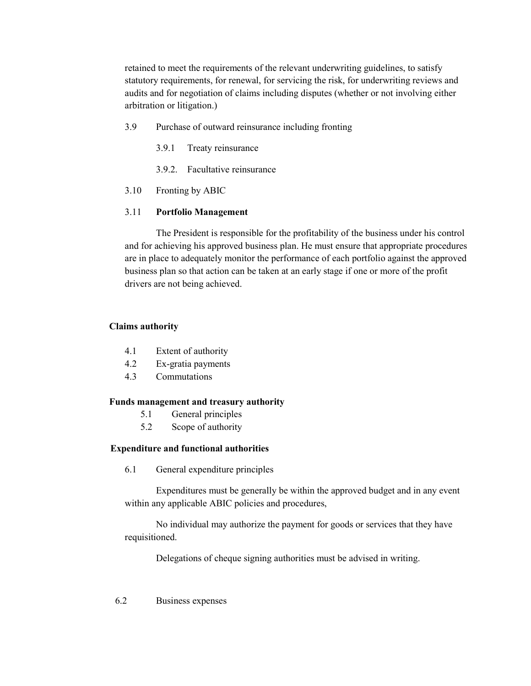retained to meet the requirements of the relevant underwriting guidelines, to satisfy statutory requirements, for renewal, for servicing the risk, for underwriting reviews and audits and for negotiation of claims including disputes (whether or not involving either arbitration or litigation.)

- 3.9 Purchase of outward reinsurance including fronting
	- 3.9.1 Treaty reinsurance
	- 3.9.2. Facultative reinsurance
- 3.10 Fronting by ABIC

# 3.11 Portfolio Management

 The President is responsible for the profitability of the business under his control and for achieving his approved business plan. He must ensure that appropriate procedures are in place to adequately monitor the performance of each portfolio against the approved business plan so that action can be taken at an early stage if one or more of the profit drivers are not being achieved.

# Claims authority

- 4.1 Extent of authority
- 4.2 Ex-gratia payments
- 4.3 Commutations

### Funds management and treasury authority

- 5.1 General principles
- 5.2 Scope of authority

### Expenditure and functional authorities

6.1 General expenditure principles

Expenditures must be generally be within the approved budget and in any event within any applicable ABIC policies and procedures,

No individual may authorize the payment for goods or services that they have requisitioned.

Delegations of cheque signing authorities must be advised in writing.

### 6.2 Business expenses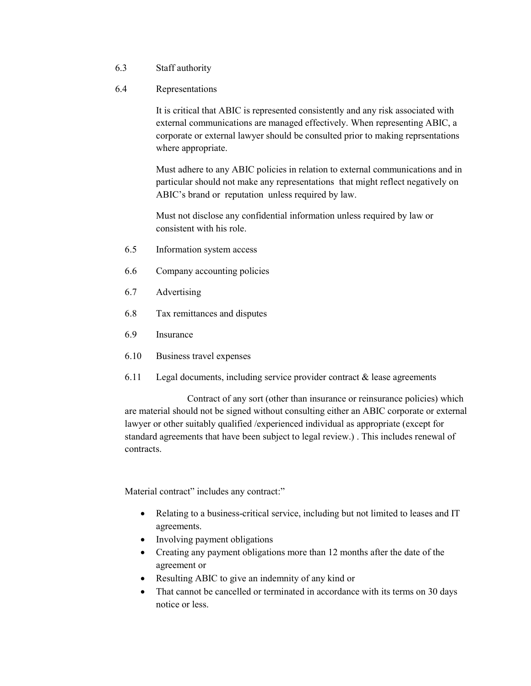- 6.3 Staff authority
- 6.4 Representations

It is critical that ABIC is represented consistently and any risk associated with external communications are managed effectively. When representing ABIC, a corporate or external lawyer should be consulted prior to making reprsentations where appropriate.

Must adhere to any ABIC policies in relation to external communications and in particular should not make any representations that might reflect negatively on ABIC's brand or reputation unless required by law.

Must not disclose any confidential information unless required by law or consistent with his role.

- 6.5 Information system access
- 6.6 Company accounting policies
- 6.7 Advertising
- 6.8 Tax remittances and disputes
- 6.9 Insurance
- 6.10 Business travel expenses
- 6.11 Legal documents, including service provider contract & lease agreements

 Contract of any sort (other than insurance or reinsurance policies) which are material should not be signed without consulting either an ABIC corporate or external lawyer or other suitably qualified /experienced individual as appropriate (except for standard agreements that have been subject to legal review.) . This includes renewal of contracts.

Material contract" includes any contract:"

- Relating to a business-critical service, including but not limited to leases and IT agreements.
- Involving payment obligations
- Creating any payment obligations more than 12 months after the date of the agreement or
- Resulting ABIC to give an indemnity of any kind or
- That cannot be cancelled or terminated in accordance with its terms on 30 days notice or less.